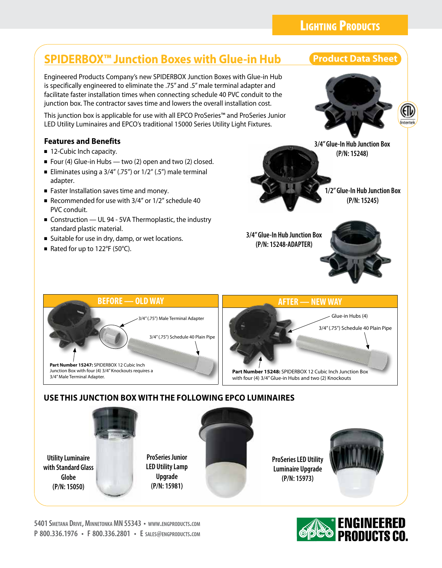## **BEFORE — OLD WAY AFTER — NEW WAY** 3/4" (.75") Male Terminal Adapter 3/4" (.75") Schedule 40 Plain Pipe 3/4" (.75") Schedule 40 Plain Pipe Glue-in Hubs (4) **1/2" Glue-In Hub Junction Box (P/N: 15245) 3/4" Glue-In Hub Junction Box (P/N: 15248-ADAPTER)** ■ Four (4) Glue-in Hubs — two (2) open and two (2) closed. Eliminates using a  $3/4$ " (.75") or  $1/2$ " (.5") male terminal adapter. ■ Faster Installation saves time and money. ■ Recommended for use with 3/4" or 1/2" schedule 40 PVC conduit. ■ Construction — UL 94 - 5VA Thermoplastic, the industry standard plastic material. ■ Suitable for use in dry, damp, or wet locations. ■ Rated for up to  $122^{\circ}F$  (50 $^{\circ}C$ ).

## **USE THIS JUNCTION BOX WITH THE FOLLOWING EPCO LUMINAIRES**

**ProSeries Junior LED Utility Lamp Upgrade (P/N: 15981)**

Engineered Products Company's new SPIDERBOX Junction Boxes with Glue-in Hub is specifically engineered to eliminate the .75" and .5" male terminal adapter and facilitate faster installation times when connecting schedule 40 PVC conduit to the junction box. The contractor saves time and lowers the overall installation cost.

This junction box is applicable for use with all EPCO ProSeries™ and ProSeries Junior LED Utility Luminaires and EPCO's traditional 15000 Series Utility Light Fixtures.

**Utility Luminaire with Standard Glass Globe (P/N: 15050)**

**Part Number 15247:** SPIDERBOX 12 Cubic Inch Junction Box with four (4) 3/4" Knockouts requires a

3/4" Male Terminal Adapter.

**Features and Benefits** ■ 12-Cubic lnch capacity.

**ProSeries LED Utility Luminaire Upgrade (P/N: 15973)**

**Part Number 15248:** SPIDERBOX 12 Cubic Inch Junction Box with four (4) 3/4" Glue-in Hubs and two (2) Knockouts







**3/4" Glue-In Hub Junction Box (P/N: 15248)**



**ENGINEERED**<br>**EPES** PRODUCTS CO.